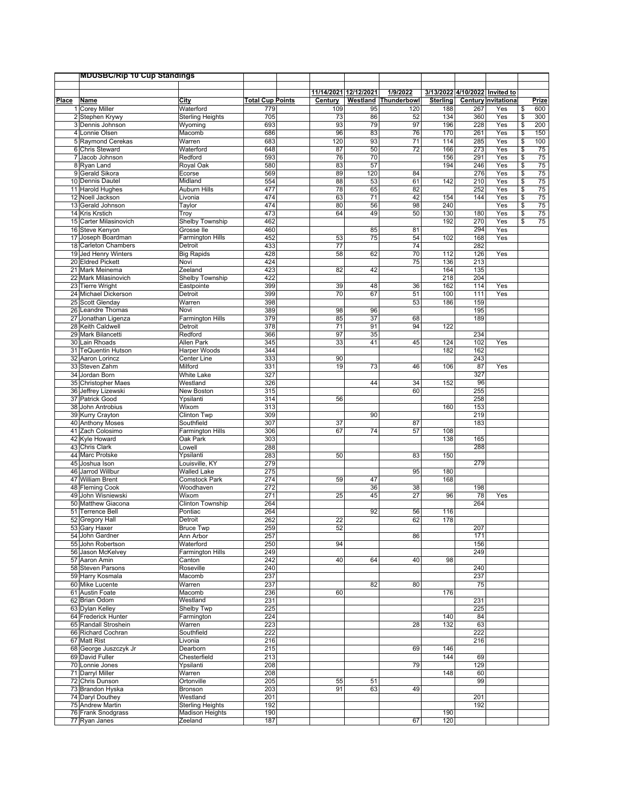|       | <b>MDUSBC/Rip 10 Cup Standings</b>    |                                       |                         |                                  |           |                         |                 |                                |                             |                          |              |
|-------|---------------------------------------|---------------------------------------|-------------------------|----------------------------------|-----------|-------------------------|-----------------|--------------------------------|-----------------------------|--------------------------|--------------|
|       |                                       |                                       |                         |                                  |           |                         |                 |                                |                             |                          |              |
| Place | <b>Name</b>                           | City                                  | <b>Total Cup Points</b> | 11/14/2021 12/12/2021<br>Century | Westland  | 1/9/2022<br>Thunderbowl | <b>Sterling</b> | 3/13/2022 4/10/2022 Invited to | <b>Century Invitational</b> |                          | <u>Prize</u> |
|       | 1 Corey Miller                        | Waterford                             | 779                     | 109                              | 95        | 120                     | 188             | 267                            | Yes                         | \$                       | 600          |
|       | 2 Stephen Krywy                       | <b>Sterling Heights</b>               | 705                     | 73                               | 86        | 52                      | 134             | 360                            | Yes                         | \$                       | 300          |
|       | 3 Dennis Johnson                      | Wyoming                               | 693                     | 93                               | 79        | 97                      | 196             | 228                            | Yes                         | \$                       | 200          |
|       | 4 Lonnie Olsen                        | Macomb                                | 686                     | 96                               | 83        | 76                      | 170             | 261                            | Yes                         | $\frac{1}{2}$            | 150          |
|       | 5 Raymond Cerekas                     | Warren                                | 683                     | 120                              | 93        | 71                      | 114             | 285                            | Yes                         | $\sqrt{3}$               | 100          |
|       | 6 Chris Steward                       | Waterford                             | 648                     | 87                               | 50        | $\overline{72}$         | 166             | 273                            | Yes                         | \$                       | 75           |
|       | 7 Jacob Johnson                       | Redford                               | 593                     | 76                               | 70        |                         | 156             | 291                            | Yes                         | \$                       | 75           |
|       | 8 Ryan Land<br>9 Gerald Sikora        | <b>Royal Oak</b><br>Ecorse            | 580<br>569              | 83<br>89                         | 57<br>120 | 84                      | 194             | 246<br>276                     | Yes<br>Yes                  | \$<br>\$                 | 75<br>75     |
|       | 10 Dennis Dautel                      | Midland                               | 554                     | 88                               | 53        | 61                      | 142             | 210                            | Yes                         | $\overline{\$}$          | 75           |
|       | 11 Harold Hughes                      | Auburn Hills                          | 477                     | 78                               | 65        | 82                      |                 | 252                            | Yes                         | $\frac{1}{2}$            | 75           |
|       | 12 Noell Jackson                      | Livonia                               | 474                     | 63                               | 71        | 42                      | 154             | 144                            | Yes                         | \$                       | 75           |
|       | 13 Gerald Johnson                     | Taylor                                | 474                     | 80                               | 56        | 98                      | 240             |                                | Yes                         | $\sqrt{3}$               | 75           |
|       | 14 Kris Krstich                       | Troy                                  | 473                     | 64                               | 49        | 50                      | 130             | 180                            | Yes                         | $\overline{\mathcal{S}}$ | 75           |
|       | 15 Carter Milasinovich                | <b>Shelby Township</b>                | 462                     |                                  |           |                         | 192             | 270                            | Yes                         | \$                       | 75           |
|       | 16 Steve Kenyon<br>17 Joseph Boardman | Grosse Ile<br><b>Farmington Hills</b> | 460<br>452              | 53                               | 85<br>75  | 81<br>54                | 102             | 294<br>168                     | Yes<br>Yes                  |                          |              |
|       | 18 Carleton Chambers                  | Detroit                               | 433                     | 77                               |           | 74                      |                 | 282                            |                             |                          |              |
|       | 19 Jed Henry Winters                  | <b>Big Rapids</b>                     | 428                     | 58                               | 62        | 70                      | 112             | 126                            | Yes                         |                          |              |
|       | 20 Eldred Pickett                     | Novi                                  | 424                     |                                  |           | 75                      | 136             | 213                            |                             |                          |              |
|       | 21 Mark Meinema                       | Zeeland                               | 423                     | 82                               | 42        |                         | 164             | 135                            |                             |                          |              |
|       | 22 Mark Milasinovich                  | <b>Shelby Township</b>                | 422                     |                                  |           |                         | 218             | 204                            |                             |                          |              |
|       | 23 Tierre Wright                      | Eastpointe                            | 399                     | 39                               | 48        | 36                      | 162             | 114                            | Yes                         |                          |              |
|       | 24 Michael Dickerson                  | Detroit                               | 399                     | 70                               | 67        | 51                      | 100             | 111                            | Yes                         |                          |              |
|       | 25 Scott Glendav<br>26 Leandre Thomas | Warren<br>Novi                        | 398<br>389              | 98                               | 96        | 53                      | 186             | 159<br>195                     |                             |                          |              |
| 27    | Jonathan Ligenza                      | Farmington Hills                      | 379                     | 85                               | 37        | 68                      |                 | 189                            |                             |                          |              |
|       | 28 Keith Caldwell                     | Detroit                               | 378                     | 71                               | 91        | 94                      | 122             |                                |                             |                          |              |
|       | 29 Mark Bilancetti                    | Redford                               | 366                     | 97                               | 35        |                         |                 | 234                            |                             |                          |              |
|       | 30 Lain Rhoads                        | Allen Park                            | 345                     | 33                               | 41        | 45                      | 124             | 102                            | Yes                         |                          |              |
|       | 31 TeQuentin Hutson                   | Harper Woods                          | 344                     |                                  |           |                         | 182             | 162                            |                             |                          |              |
|       | 32 Aaron Lorincz                      | Center Line                           | 333                     | 90                               |           |                         |                 | 243                            |                             |                          |              |
|       | 33 Steven Zahm                        | Milford                               | 331                     | 19                               | 73        | 46                      | 106             | 87                             | Yes                         |                          |              |
|       | 34 Jordan Born<br>35 Christopher Maes | <b>White Lake</b><br>Westland         | 327<br>326              |                                  | 44        |                         | 152             | 327<br>96                      |                             |                          |              |
|       | 36 Jeffrey Lizewski                   | New Boston                            | 315                     |                                  |           | 34<br>60                |                 | 255                            |                             |                          |              |
|       | 37 Patrick Good                       | Ypsilanti                             | 314                     | 56                               |           |                         |                 | 258                            |                             |                          |              |
|       | 38 John Antrobius                     | Wixom                                 | 313                     |                                  |           |                         | 160             | 153                            |                             |                          |              |
|       | 39 Kurry Crayton                      | Clinton Twp                           | 309                     |                                  | 90        |                         |                 | 219                            |                             |                          |              |
|       | 40 Anthony Moses                      | Southfield                            | 307                     | 37                               |           | 87                      |                 | 183                            |                             |                          |              |
|       | 41 Zach Colosimo                      | <b>Farmington Hills</b>               | 306                     | 67                               | 74        | 57                      | 108             |                                |                             |                          |              |
|       | 42 Kyle Howard                        | Oak Park                              | 303                     |                                  |           |                         | 138             | 165                            |                             |                          |              |
|       | 43 Chris Clark<br>44 Marc Protske     | Lowell<br>Ypsilanti                   | 288<br>283              | 50                               |           | 83                      | 150             | 288                            |                             |                          |              |
|       | 45 Joshua Ison                        | Louisville, KY                        | 279                     |                                  |           |                         |                 | 279                            |                             |                          |              |
|       | 46 Jarrod Willbur                     | <b>Walled Lake</b>                    | 275                     |                                  |           | 95                      | 180             |                                |                             |                          |              |
|       | 47 William Brent                      | <b>Comstock Park</b>                  | 274                     | 59                               | 47        |                         | 168             |                                |                             |                          |              |
|       | 48 Fleming Cook                       | Woodhaven                             | 272                     |                                  | 36        | 38                      |                 | 198                            |                             |                          |              |
|       | 49 John Wisniewski                    | Wixom                                 | 271                     | 25                               | 45        | 27                      | 96              | 78                             | Yes                         |                          |              |
|       | 50 Matthew Giacona                    | <b>Clinton Township</b>               | 264                     |                                  |           |                         |                 | 264                            |                             |                          |              |
| 51    | <b>Terrence Bell</b>                  | Pontiac                               | 264                     |                                  | 92        | 56                      | 116             |                                |                             |                          |              |
|       | 52 Gregory Hall<br>53 Gary Haxer      | Detroit<br><b>Bruce Twp</b>           | 262<br>259              | 22<br>52                         |           | 62                      | 178             | 207                            |                             |                          |              |
|       | 54 John Gardner                       | Ann Arbor                             | 257                     |                                  |           | 86                      |                 | 171                            |                             |                          |              |
|       | 55 John Robertson                     | Waterford                             | 250                     | 94                               |           |                         |                 | 156                            |                             |                          |              |
|       | 56 Jason McKelvey                     | <b>Farmington Hills</b>               | 249                     |                                  |           |                         |                 | 249                            |                             |                          |              |
|       | 57 Aaron Amin                         | Canton                                | 242                     | 40                               | 64        | 40                      | 98              |                                |                             |                          |              |
|       | 58 Steven Parsons                     | Roseville                             | 240                     |                                  |           |                         |                 | 240                            |                             |                          |              |
|       | 59 Harry Kosmala                      | Macomb                                | 237                     |                                  |           |                         |                 | 237                            |                             |                          |              |
|       | 60 Mike Lucente<br>61 Austin Foate    | Warren<br>Macomb                      | 237<br>236              | 60                               | 82        | 80                      | 176             | 75                             |                             |                          |              |
|       | 62 Brian Odom                         | Westland                              | 231                     |                                  |           |                         |                 | 231                            |                             |                          |              |
|       | 63 Dylan Kelley                       | Shelby Twp                            | 225                     |                                  |           |                         |                 | 225                            |                             |                          |              |
|       | 64 Frederick Hunter                   | Farmington                            | 224                     |                                  |           |                         | 140             | 84                             |                             |                          |              |
|       | 65 Randall Stroshein                  | Warren                                | 223                     |                                  |           | 28                      | 132             | 63                             |                             |                          |              |
|       | 66 Richard Cochran                    | Southfield                            | 222                     |                                  |           |                         |                 | 222                            |                             |                          |              |
|       | 67 Matt Rist                          | Livonia                               | 216                     |                                  |           |                         |                 | 216                            |                             |                          |              |
|       | 68 George Juszczyk Jr                 | Dearborn                              | 215                     |                                  |           | 69                      | 146             |                                |                             |                          |              |
|       | 69 David Fuller<br>70 Lonnie Jones    | Chesterfield                          | 213                     |                                  |           | 79                      | 144             | 69<br>129                      |                             |                          |              |
|       | 71 Darryl Miller                      | Ypsilanti<br>Warren                   | 208<br>208              |                                  |           |                         | 148             | 60                             |                             |                          |              |
|       | 72 Chris Dunson                       | Ortonville                            | 205                     | 55                               | 51        |                         |                 | 99                             |                             |                          |              |
|       | 73 Brandon Hyska                      | Bronson                               | 203                     | 91                               | 63        | 49                      |                 |                                |                             |                          |              |
|       | 74 Daryl Douthey                      | Westland                              | 201                     |                                  |           |                         |                 | 201                            |                             |                          |              |
|       | 75 Andrew Martin                      | <b>Sterling Heights</b>               | 192                     |                                  |           |                         |                 | 192                            |                             |                          |              |
|       | 76 Frank Snodgrass                    | <b>Madison Heights</b>                | 190                     |                                  |           |                         | 190             |                                |                             |                          |              |
|       | 77 Ryan Janes                         | Zeeland                               | 187                     |                                  |           | 67                      | 120             |                                |                             |                          |              |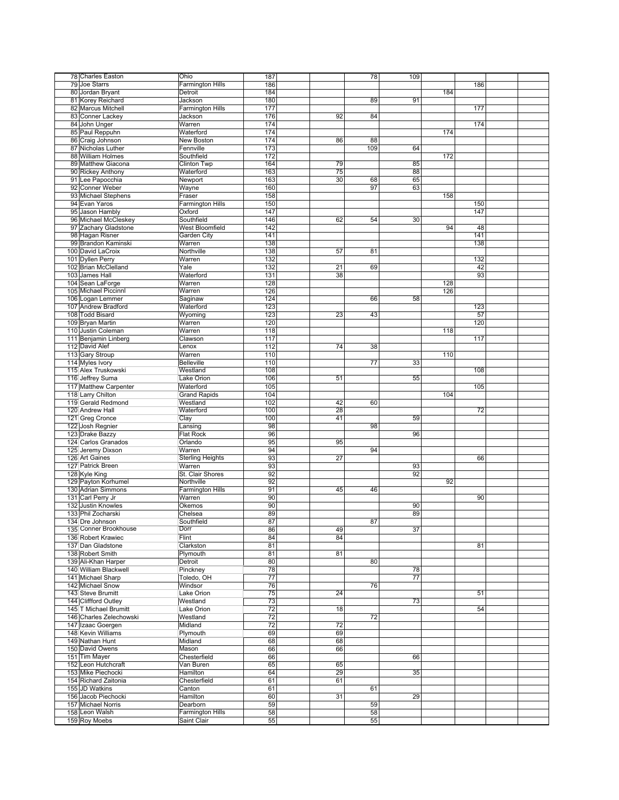| 78 Charles Easton       | Ohio                                   | 187             |                 | 78  | 109 |     |     |  |
|-------------------------|----------------------------------------|-----------------|-----------------|-----|-----|-----|-----|--|
| 79 Joe Starrs           | <b>Farmington Hills</b>                | 186             |                 |     |     |     | 186 |  |
|                         |                                        |                 |                 |     |     |     |     |  |
| 80 Jordan Bryant        | Detroit                                | 184             |                 |     |     | 184 |     |  |
| 81 Korey Reichard       | Jackson                                | 180             |                 | 89  | 91  |     |     |  |
| 82 Marcus Mitchell      | <b>Farmington Hills</b>                | 177             |                 |     |     |     | 177 |  |
| 83 Conner Lackey        | Jackson                                | 176             | 92              | 84  |     |     |     |  |
| 84 John Unger           | Warren                                 | 174             |                 |     |     |     | 174 |  |
| 85 Paul Reppuhn         | Waterford                              | 174             |                 |     |     | 174 |     |  |
|                         |                                        |                 |                 |     |     |     |     |  |
| 86 Craig Johnson        | New Boston                             | 174             | 86              | 88  |     |     |     |  |
| 87 Nicholas Luther      | Fennville                              | 173             |                 | 109 | 64  |     |     |  |
| 88 William Holmes       | Southfield                             | 172             |                 |     |     | 172 |     |  |
| 89 Matthew Giacona      | Clinton Twp                            | 164             | 79              |     | 85  |     |     |  |
| 90 Rickey Anthony       | Waterford                              | 163             | 75              |     | 88  |     |     |  |
| 91 Lee Papocchia        | Newport                                | 163             | 30              | 68  | 65  |     |     |  |
|                         |                                        |                 |                 |     |     |     |     |  |
| 92 Conner Weber         | Wayne                                  | 160             |                 | 97  | 63  |     |     |  |
| 93 Michael Stephens     | Fraser                                 | 158             |                 |     |     | 158 |     |  |
| 94 Evan Yaros           | <b>Farmington Hills</b>                | 150             |                 |     |     |     | 150 |  |
| 95 Jason Hambly         | Oxford                                 | 147             |                 |     |     |     | 147 |  |
| 96 Michael McCleskey    | Southfield                             | 146             | 62              | 54  | 30  |     |     |  |
| 97 Zachary Gladstone    | West Bloomfield                        | 142             |                 |     |     | 94  | 48  |  |
|                         |                                        |                 |                 |     |     |     |     |  |
| 98 Hagan Risner         | Garden City                            | 141             |                 |     |     |     | 141 |  |
| 99 Brandon Kaminski     | Warren                                 | 138             |                 |     |     |     | 138 |  |
| 100 David LaCroix       | Northville                             | 138             | 57              | 81  |     |     |     |  |
| 101 Dyllen Perry        | Warren                                 | 132             |                 |     |     |     | 132 |  |
| 102 Brian McClelland    | Yale                                   | 132             | 21              | 69  |     |     | 42  |  |
| 103 James Hall          | Waterford                              | 131             | 38              |     |     |     | 93  |  |
| 104 Sean LaForge        | Warren                                 | 128             |                 |     |     | 128 |     |  |
|                         |                                        |                 |                 |     |     |     |     |  |
| 105 Michael Piccinnl    | Warren                                 | 126             |                 |     |     | 126 |     |  |
| 106 Logan Lemmer        | Saginaw                                | 124             |                 | 66  | 58  |     |     |  |
| 107 Andrew Bradford     | Waterford                              | 123             |                 |     |     |     | 123 |  |
| 108 Todd Bisard         | Wyoming                                | 123             | 23              | 43  |     |     | 57  |  |
| 109 Bryan Martin        | Warren                                 | 120             |                 |     |     |     | 120 |  |
| 110 Justin Coleman      | Warren                                 | 118             |                 |     |     | 118 |     |  |
|                         |                                        |                 |                 |     |     |     |     |  |
| 111 Benjamin Linberg    | Clawson                                | 117             |                 |     |     |     | 117 |  |
| 112 David Alef          | Lenox                                  | 112             | 74              | 38  |     |     |     |  |
| 113 Gary Stroup         | Warren                                 | 110             |                 |     |     | 110 |     |  |
| 114 Myles Ivory         | <b>Belleville</b>                      | 110             |                 | 77  | 33  |     |     |  |
| 115 Alex Truskowski     | Westland                               | 108             |                 |     |     |     | 108 |  |
| 116 Jeffrey Suma        | Lake Orion                             | 106             | 51              |     | 55  |     |     |  |
|                         |                                        |                 |                 |     |     |     |     |  |
| 117 Matthew Carpenter   | Waterford                              | 105             |                 |     |     |     | 105 |  |
| 118 Larry Chilton       | <b>Grand Rapids</b>                    | 104             |                 |     |     | 104 |     |  |
| 119 Gerald Redmond      | Westland                               | 102             | 42              | 60  |     |     |     |  |
|                         |                                        |                 |                 |     |     |     |     |  |
| 120 Andrew Hall         | Waterford                              | 100             | 28              |     |     |     | 72  |  |
|                         |                                        |                 | 41              |     |     |     |     |  |
| 121 Greg Cronce         | Clay                                   | 100             |                 |     | 59  |     |     |  |
| 122 Josh Regnier        | Lansing                                | 98              |                 | 98  |     |     |     |  |
| 123 Drake Bazzy         | <b>Flat Rock</b>                       | 96              |                 |     | 96  |     |     |  |
| 124 Carlos Granados     | Orlando                                | 95              | 95              |     |     |     |     |  |
| 125 Jeremy Dixson       | Warren                                 | 94              |                 | 94  |     |     |     |  |
| 126 Art Gaines          | <b>Sterling Heights</b>                | 93              | 27              |     |     |     | 66  |  |
| 127 Patrick Breen       | Warren                                 | 93              |                 |     | 93  |     |     |  |
| 128 Kyle King           | St. Clair Shores                       | 92              |                 |     | 92  |     |     |  |
|                         |                                        |                 |                 |     |     | 92  |     |  |
| 129 Payton Korhumel     | Northville                             | 92              |                 |     |     |     |     |  |
| 130 Adrian Simmons      | Farmington Hills                       | 91              | 45              | 46  |     |     |     |  |
| 131 Carl Perry Jr       | Warren                                 | 90              |                 |     |     |     | 90  |  |
| 132 Justin Knowles      | Okemos                                 | 90              |                 |     | 90  |     |     |  |
| 133 Phil Zocharski      | Chelsea                                | 89              |                 |     | 89  |     |     |  |
| 134 Dre Johnson         | Southfield                             | 87              |                 | 87  |     |     |     |  |
| 135 Conner Brookhouse   | Dorr                                   | 86              | 49              |     | 37  |     |     |  |
| 136 Robert Krawiec      | Flint                                  | 84              | 84              |     |     |     |     |  |
|                         |                                        |                 |                 |     |     |     |     |  |
| 137 Dan Gladstone       | Clarkston                              | 81              |                 |     |     |     | 81  |  |
| 138 Robert Smith        | Plymouth                               | 81              | 81              |     |     |     |     |  |
| 139 Ali-Khan Harper     | Detroit                                | 80              |                 | 80  |     |     |     |  |
| 140 William Blackwell   | Pinckney                               | 78              |                 |     | 78  |     |     |  |
| 141 Michael Sharp       | Toledo, OH                             | 77              |                 |     | 77  |     |     |  |
| 142 Michael Snow        | Windsor                                | 76              |                 | 76  |     |     |     |  |
| 143 Steve Brumitt       | Lake Orion                             | 75              | 24              |     |     |     | 51  |  |
|                         | Westland                               |                 |                 |     |     |     |     |  |
| 144 Cliffford Outley    |                                        | 73              |                 |     | 73  |     |     |  |
| 145 T Michael Brumitt   | Lake Orion                             | 72              | 18              |     |     |     | 54  |  |
| 146 Charles Zelechowski | Westland                               | 72              |                 | 72  |     |     |     |  |
| 147 Izaac Goergen       | Midland                                | $\overline{72}$ | $\overline{72}$ |     |     |     |     |  |
| 148 Kevin Williams      | Plymouth                               | 69              | 69              |     |     |     |     |  |
| 149 Nathan Hunt         | Midland                                | 68              | 68              |     |     |     |     |  |
| 150 David Owens         | Mason                                  | 66              | 66              |     |     |     |     |  |
| 151 Tim Mayer           | Chesterfield                           | 66              |                 |     | 66  |     |     |  |
|                         |                                        |                 |                 |     |     |     |     |  |
| 152 Leon Hutchcraft     | Van Buren                              | 65              | 65              |     |     |     |     |  |
| 153 Mike Piechocki      | Hamilton                               | 64              | 29              |     | 35  |     |     |  |
| 154 Richard Zaitonia    | Chesterfield                           | 61              | 61              |     |     |     |     |  |
| 155 JD Watkins          | Canton                                 | 61              |                 | 61  |     |     |     |  |
| 156 Jacob Piechocki     | Hamilton                               | 60              | 31              |     | 29  |     |     |  |
| 157 Michael Norris      | Dearborn                               | 59              |                 | 59  |     |     |     |  |
| 158 Leon Walsh          |                                        |                 |                 | 58  |     |     |     |  |
| 159 Roy Moebs           | <b>Farmington Hills</b><br>Saint Clair | 58<br>55        |                 | 55  |     |     |     |  |